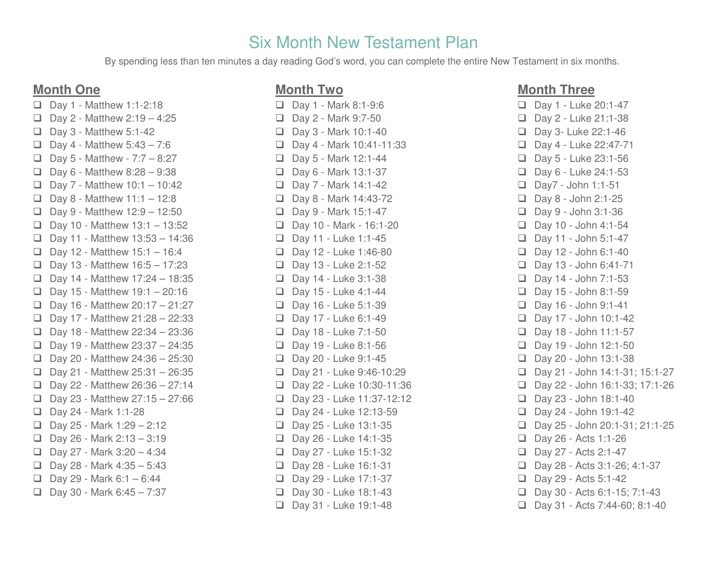# Six Month New Testament Plan

By spending less than ten minutes a day reading God's word, you can complete the entire New Testament in six months.

## **Month One**

□ Day 1 - Matthew 1:1-2:18  $\Box$  Day 2 - Matthew 2:19 - 4:25  $\Box$  Day 3 - Matthew 5:1-42  $\Box$  Day 4 - Matthew 5:43 - 7:6  $\Box$  Day 5 - Matthew - 7:7 – 8:27  $\Box$  Day 6 - Matthew 8:28 - 9:38  $\Box$  Day 7 - Matthew 10:1 - 10:42  $\Box$  Day 8 - Matthew 11:1 – 12:8  $\Box$  Day 9 - Matthew 12:9 – 12:50  $\Box$  Day 10 - Matthew 13:1 - 13:52  $\Box$  Day 11 - Matthew 13:53 - 14:36  $\Box$  Day 12 - Matthew 15:1 - 16:4  $\Box$  Day 13 - Matthew 16:5 - 17:23  $\Box$  Day 14 - Matthew 17:24 - 18:35  $\Box$  Day 15 - Matthew 19:1 - 20:16  $\Box$  Day 16 - Matthew 20:17 - 21:27  $\Box$  Day 17 - Matthew 21:28 - 22:33  $\Box$  Day 18 - Matthew 22:34 - 23:36  $\Box$  Day 19 - Matthew 23:37 - 24:35  $\Box$  Day 20 - Matthew 24:36 - 25:30  $\Box$  Day 21 - Matthew 25:31 - 26:35  $\Box$  Day 22 - Matthew 26:36 - 27:14  $\Box$  Day 23 - Matthew 27:15 – 27:66 Day 24 - Mark 1:1-28  $\Box$  Day 25 - Mark 1:29 - 2:12  $\Box$  Day 26 - Mark 2:13 - 3:19  $\Box$  Day 27 - Mark 3:20 - 4:34  $\Box$  Day 28 - Mark 4:35 - 5:43  $\Box$  Day 29 - Mark 6:1 – 6:44  $\Box$  Day 30 - Mark 6:45 - 7:37

## **Month Two**

 $\Box$  Day 1 - Mark 8:1-9:6  $\Box$  Day 2 - Mark 9:7-50 Day 3 - Mark 10:1-40  $\Box$  Day 4 - Mark 10:41-11:33 Day 5 - Mark 12:1-44 Day 6 - Mark 13:1-37 Day 7 - Mark 14:1-42  $\Box$  Day 8 - Mark 14:43-72 Day 9 - Mark 15:1-47 Day 10 - Mark - 16:1-20 Day 11 - Luke 1:1-45  $\Box$  Day 12 - Luke 1:46-80 Day 13 - Luke 2:1-52  $\Box$  Day 14 - Luke 3:1-38  $\Box$  Day 15 - Luke 4:1-44 Day 16 - Luke 5:1-39 Day 17 - Luke 6:1-49  $\Box$  Day 18 - Luke 7:1-50 Day 19 - Luke 8:1-56 Day 20 - Luke 9:1-45 Day 21 - Luke 9:46-10:29 Day 22 - Luke 10:30-11:36 Day 23 - Luke 11:37-12:12 Day 24 - Luke 12:13-59 Day 25 - Luke 13:1-35  $\Box$  Day 26 - Luke 14:1-35 Day 27 - Luke 15:1-32 Day 28 - Luke 16:1-31 Day 29 - Luke 17:1-37 Day 30 - Luke 18:1-43 □ Day 31 - Luke 19:1-48

### **Month Three**

Day 1 - Luke 20:1-47 Day 2 - Luke 21:1-38 Day 3- Luke 22:1-46 Day 4 - Luke 22:47-71 Day 5 - Luke 23:1-56  $\Box$  Day 6 - Luke 24:1-53 Day7 - John 1:1-51  $\Box$  Day 8 - John 2:1-25  $\Box$  Day 9 - John 3:1-36  $\Box$  Day 10 - John 4:1-54  $\Box$  Day 11 - John 5:1-47  $\Box$  Day 12 - John 6:1-40  $\Box$  Day 13 - John 6:41-71  $\Box$  Day 14 - John 7:1-53  $\Box$  Day 15 - John 8:1-59 Day 16 - John 9:1-41  $\Box$  Day 17 - John 10:1-42  $\Box$  Day 18 - John 11:1-57  $\Box$  Day 19 - John 12:1-50  $\Box$  Day 20 - John 13:1-38 Day 21 - John 14:1-31; 15:1-27 Day 22 - John 16:1-33; 17:1-26  $\Box$  Day 23 - John 18:1-40  $\Box$  Day 24 - John 19:1-42  $\Box$  Day 25 - John 20:1-31; 21:1-25 Day 26 - Acts 1:1-26 Day 27 - Acts 2:1-47 Day 28 - Acts 3:1-26; 4:1-37 Day 29 - Acts 5:1-42 Day 30 - Acts 6:1-15; 7:1-43  $\Box$  Day 31 - Acts 7:44-60; 8:1-40